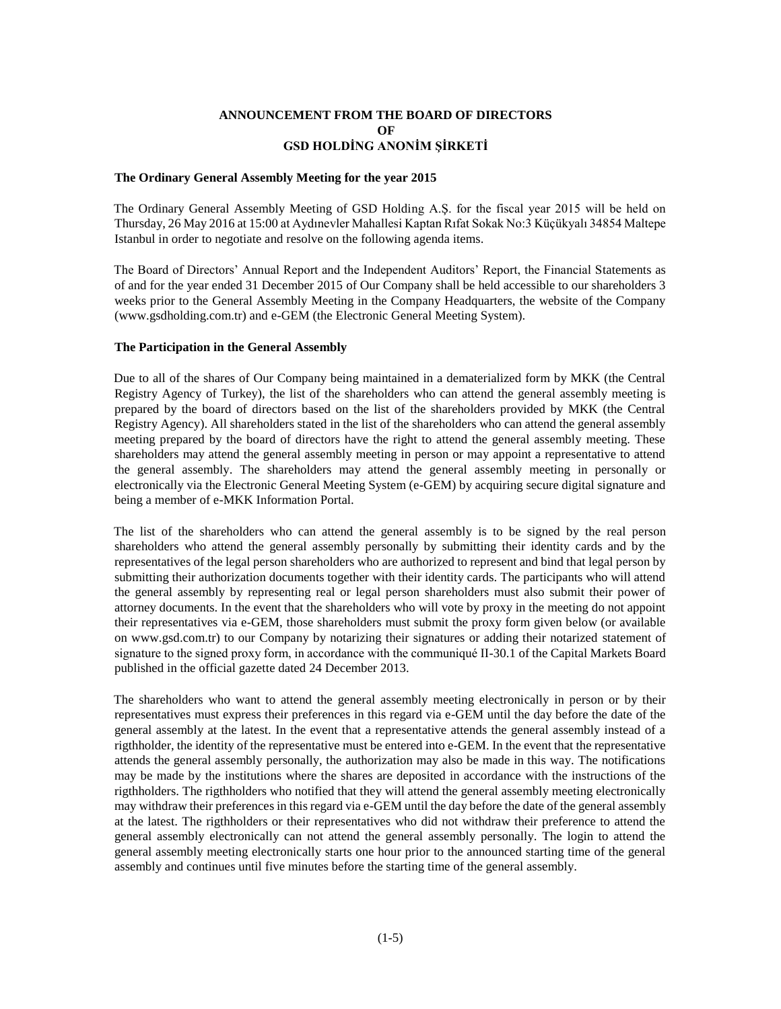## **ANNOUNCEMENT FROM THE BOARD OF DIRECTORS OF GSD HOLDİNG ANONİM ŞİRKETİ**

#### **The Ordinary General Assembly Meeting for the year 2015**

The Ordinary General Assembly Meeting of GSD Holding A.Ş. for the fiscal year 2015 will be held on Thursday, 26 May 2016 at 15:00 at Aydınevler Mahallesi Kaptan Rıfat Sokak No:3 Küçükyalı 34854 Maltepe Istanbul in order to negotiate and resolve on the following agenda items.

The Board of Directors' Annual Report and the Independent Auditors' Report, the Financial Statements as of and for the year ended 31 December 2015 of Our Company shall be held accessible to our shareholders 3 weeks prior to the General Assembly Meeting in the Company Headquarters, the website of the Company (www.gsdholding.com.tr) and e-GEM (the Electronic General Meeting System).

#### **The Participation in the General Assembly**

Due to all of the shares of Our Company being maintained in a dematerialized form by MKK (the Central Registry Agency of Turkey), the list of the shareholders who can attend the general assembly meeting is prepared by the board of directors based on the list of the shareholders provided by MKK (the Central Registry Agency). All shareholders stated in the list of the shareholders who can attend the general assembly meeting prepared by the board of directors have the right to attend the general assembly meeting. These shareholders may attend the general assembly meeting in person or may appoint a representative to attend the general assembly. The shareholders may attend the general assembly meeting in personally or electronically via the Electronic General Meeting System (e-GEM) by acquiring secure digital signature and being a member of e-MKK Information Portal.

The list of the shareholders who can attend the general assembly is to be signed by the real person shareholders who attend the general assembly personally by submitting their identity cards and by the representatives of the legal person shareholders who are authorized to represent and bind that legal person by submitting their authorization documents together with their identity cards. The participants who will attend the general assembly by representing real or legal person shareholders must also submit their power of attorney documents. In the event that the shareholders who will vote by proxy in the meeting do not appoint their representatives via e-GEM, those shareholders must submit the proxy form given below (or available on www.gsd.com.tr) to our Company by notarizing their signatures or adding their notarized statement of signature to the signed proxy form, in accordance with the communiqué II-30.1 of the Capital Markets Board published in the official gazette dated 24 December 2013.

The shareholders who want to attend the general assembly meeting electronically in person or by their representatives must express their preferences in this regard via e-GEM until the day before the date of the general assembly at the latest. In the event that a representative attends the general assembly instead of a rigthholder, the identity of the representative must be entered into e-GEM. In the event that the representative attends the general assembly personally, the authorization may also be made in this way. The notifications may be made by the institutions where the shares are deposited in accordance with the instructions of the rigthholders. The rigthholders who notified that they will attend the general assembly meeting electronically may withdraw their preferences in this regard via e-GEM until the day before the date of the general assembly at the latest. The rigthholders or their representatives who did not withdraw their preference to attend the general assembly electronically can not attend the general assembly personally. The login to attend the general assembly meeting electronically starts one hour prior to the announced starting time of the general assembly and continues until five minutes before the starting time of the general assembly.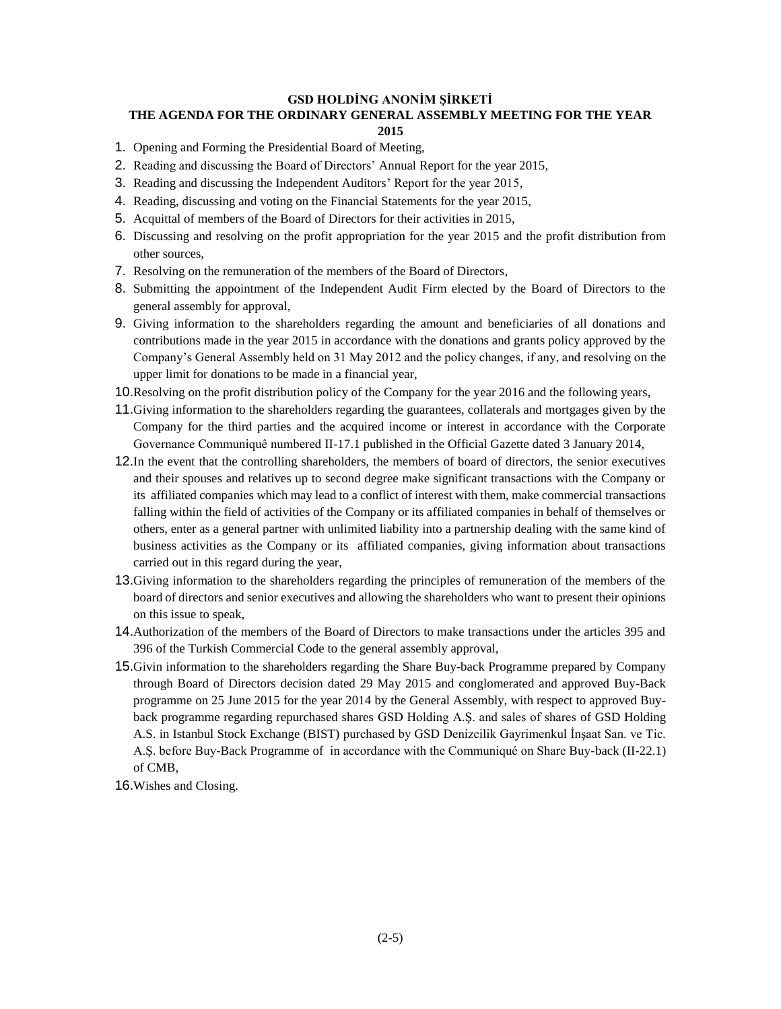#### **GSD HOLDİNG ANONİM ŞİRKETİ**

#### **THE AGENDA FOR THE ORDINARY GENERAL ASSEMBLY MEETING FOR THE YEAR 2015**

- 1. Opening and Forming the Presidential Board of Meeting,
- 2. Reading and discussing the Board of Directors' Annual Report for the year 2015,
- 3. Reading and discussing the Independent Auditors' Report for the year 2015,
- 4. Reading, discussing and voting on the Financial Statements for the year 2015,
- 5. Acquittal of members of the Board of Directors for their activities in 2015,
- 6. Discussing and resolving on the profit appropriation for the year 2015 and the profit distribution from other sources,
- 7. Resolving on the remuneration of the members of the Board of Directors,
- 8. Submitting the appointment of the Independent Audit Firm elected by the Board of Directors to the general assembly for approval,
- 9. Giving information to the shareholders regarding the amount and beneficiaries of all donations and contributions made in the year 2015 in accordance with the donations and grants policy approved by the Company's General Assembly held on 31 May 2012 and the policy changes, if any, and resolving on the upper limit for donations to be made in a financial year,
- 10.Resolving on the profit distribution policy of the Company for the year 2016 and the following years,
- 11.Giving information to the shareholders regarding the guarantees, collaterals and mortgages given by the Company for the third parties and the acquired income or interest in accordance with the Corporate Governance Communiquê numbered II-17.1 published in the Official Gazette dated 3 January 2014,
- 12.In the event that the controlling shareholders, the members of board of directors, the senior executives and their spouses and relatives up to second degree make significant transactions with the Company or its affiliated companies which may lead to a conflict of interest with them, make commercial transactions falling within the field of activities of the Company or its affiliated companies in behalf of themselves or others, enter as a general partner with unlimited liability into a partnership dealing with the same kind of business activities as the Company or its affiliated companies, giving information about transactions carried out in this regard during the year,
- 13.Giving information to the shareholders regarding the principles of remuneration of the members of the board of directors and senior executives and allowing the shareholders who want to present their opinions on this issue to speak,
- 14.Authorization of the members of the Board of Directors to make transactions under the articles 395 and 396 of the Turkish Commercial Code to the general assembly approval,
- 15.Givin information to the shareholders regarding the Share Buy-back Programme prepared by Company through Board of Directors decision dated 29 May 2015 and conglomerated and approved Buy-Back programme on 25 June 2015 for the year 2014 by the General Assembly, with respect to approved Buyback programme regarding repurchased shares GSD Holding A.Ş. and sales of shares of GSD Holding A.S. in Istanbul Stock Exchange (BIST) purchased by GSD Denizcilik Gayrimenkul İnşaat San. ve Tic. A.Ş. before Buy-Back Programme of in accordance with the Communiqué on Share Buy-back (II-22.1) of CMB,
- 16.Wishes and Closing.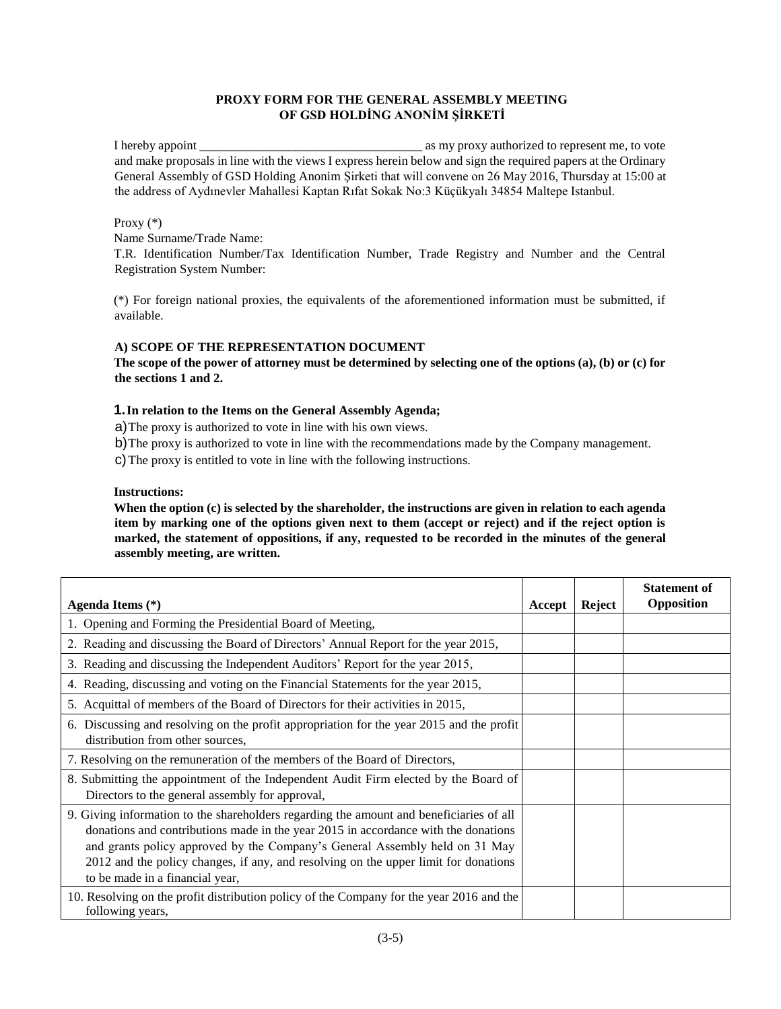## **PROXY FORM FOR THE GENERAL ASSEMBLY MEETING OF GSD HOLDİNG ANONİM ŞİRKETİ**

I hereby appoint \_\_\_\_\_\_\_\_\_\_\_\_\_\_\_\_\_\_\_\_\_\_\_\_\_\_\_\_\_\_\_\_\_\_\_ as my proxy authorized to represent me, to vote and make proposals in line with the views I express herein below and sign the required papers at the Ordinary General Assembly of GSD Holding Anonim Şirketi that will convene on 26 May 2016, Thursday at 15:00 at the address of Aydınevler Mahallesi Kaptan Rıfat Sokak No:3 Küçükyalı 34854 Maltepe Istanbul.

### Proxy (\*)

Name Surname/Trade Name:

T.R. Identification Number/Tax Identification Number, Trade Registry and Number and the Central Registration System Number:

(\*) For foreign national proxies, the equivalents of the aforementioned information must be submitted, if available.

## **A) SCOPE OF THE REPRESENTATION DOCUMENT**

**The scope of the power of attorney must be determined by selecting one of the options (a), (b) or (c) for the sections 1 and 2.** 

## **1.In relation to the Items on the General Assembly Agenda;**

a)The proxy is authorized to vote in line with his own views.

b)The proxy is authorized to vote in line with the recommendations made by the Company management.

c)The proxy is entitled to vote in line with the following instructions.

## **Instructions:**

**When the option (c) is selected by the shareholder, the instructions are given in relation to each agenda item by marking one of the options given next to them (accept or reject) and if the reject option is marked, the statement of oppositions, if any, requested to be recorded in the minutes of the general assembly meeting, are written.** 

| Agenda Items (*)                                                                                                                                                                                                                                                                                                                                                                       | Accept | Reject | <b>Statement of</b><br>Opposition |
|----------------------------------------------------------------------------------------------------------------------------------------------------------------------------------------------------------------------------------------------------------------------------------------------------------------------------------------------------------------------------------------|--------|--------|-----------------------------------|
| 1. Opening and Forming the Presidential Board of Meeting,                                                                                                                                                                                                                                                                                                                              |        |        |                                   |
| 2. Reading and discussing the Board of Directors' Annual Report for the year 2015,                                                                                                                                                                                                                                                                                                     |        |        |                                   |
| 3. Reading and discussing the Independent Auditors' Report for the year 2015,                                                                                                                                                                                                                                                                                                          |        |        |                                   |
| 4. Reading, discussing and voting on the Financial Statements for the year 2015,                                                                                                                                                                                                                                                                                                       |        |        |                                   |
| 5. Acquittal of members of the Board of Directors for their activities in 2015,                                                                                                                                                                                                                                                                                                        |        |        |                                   |
| 6. Discussing and resolving on the profit appropriation for the year 2015 and the profit<br>distribution from other sources,                                                                                                                                                                                                                                                           |        |        |                                   |
| 7. Resolving on the remuneration of the members of the Board of Directors,                                                                                                                                                                                                                                                                                                             |        |        |                                   |
| 8. Submitting the appointment of the Independent Audit Firm elected by the Board of<br>Directors to the general assembly for approval,                                                                                                                                                                                                                                                 |        |        |                                   |
| 9. Giving information to the shareholders regarding the amount and beneficiaries of all<br>donations and contributions made in the year 2015 in accordance with the donations<br>and grants policy approved by the Company's General Assembly held on 31 May<br>2012 and the policy changes, if any, and resolving on the upper limit for donations<br>to be made in a financial year, |        |        |                                   |
| 10. Resolving on the profit distribution policy of the Company for the year 2016 and the<br>following years,                                                                                                                                                                                                                                                                           |        |        |                                   |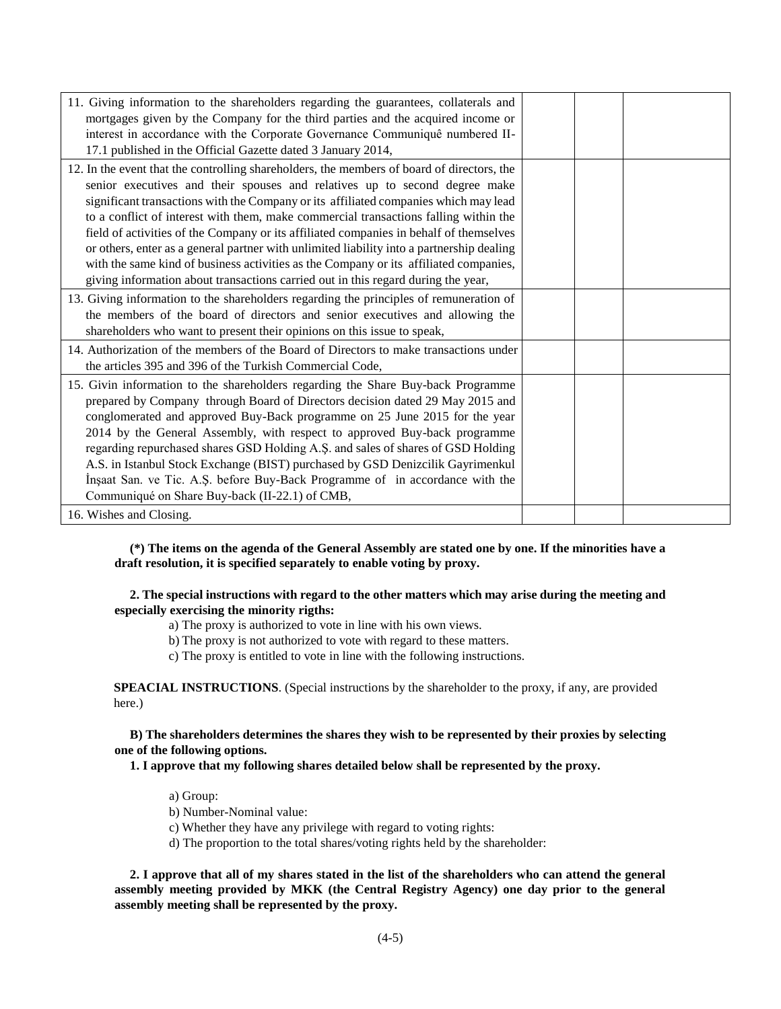| 11. Giving information to the shareholders regarding the guarantees, collaterals and<br>mortgages given by the Company for the third parties and the acquired income or<br>interest in accordance with the Corporate Governance Communiquê numbered II-<br>17.1 published in the Official Gazette dated 3 January 2014,                                                                                                                                                                                                                                                                                                                                                                                                       |  |  |
|-------------------------------------------------------------------------------------------------------------------------------------------------------------------------------------------------------------------------------------------------------------------------------------------------------------------------------------------------------------------------------------------------------------------------------------------------------------------------------------------------------------------------------------------------------------------------------------------------------------------------------------------------------------------------------------------------------------------------------|--|--|
| 12. In the event that the controlling shareholders, the members of board of directors, the<br>senior executives and their spouses and relatives up to second degree make<br>significant transactions with the Company or its affiliated companies which may lead<br>to a conflict of interest with them, make commercial transactions falling within the<br>field of activities of the Company or its affiliated companies in behalf of themselves<br>or others, enter as a general partner with unlimited liability into a partnership dealing<br>with the same kind of business activities as the Company or its affiliated companies,<br>giving information about transactions carried out in this regard during the year, |  |  |
| 13. Giving information to the shareholders regarding the principles of remuneration of<br>the members of the board of directors and senior executives and allowing the<br>shareholders who want to present their opinions on this issue to speak,                                                                                                                                                                                                                                                                                                                                                                                                                                                                             |  |  |
| 14. Authorization of the members of the Board of Directors to make transactions under<br>the articles 395 and 396 of the Turkish Commercial Code,                                                                                                                                                                                                                                                                                                                                                                                                                                                                                                                                                                             |  |  |
| 15. Givin information to the shareholders regarding the Share Buy-back Programme<br>prepared by Company through Board of Directors decision dated 29 May 2015 and<br>conglomerated and approved Buy-Back programme on 25 June 2015 for the year<br>2014 by the General Assembly, with respect to approved Buy-back programme<br>regarding repurchased shares GSD Holding A.Ş. and sales of shares of GSD Holding<br>A.S. in Istanbul Stock Exchange (BIST) purchased by GSD Denizcilik Gayrimenkul<br>Insaat San. ve Tic. A.S. before Buy-Back Programme of in accordance with the<br>Communiqué on Share Buy-back (II-22.1) of CMB,                                                                                          |  |  |
| 16. Wishes and Closing.                                                                                                                                                                                                                                                                                                                                                                                                                                                                                                                                                                                                                                                                                                       |  |  |

 **(\*) The items on the agenda of the General Assembly are stated one by one. If the minorities have a draft resolution, it is specified separately to enable voting by proxy.** 

### **2. The special instructions with regard to the other matters which may arise during the meeting and especially exercising the minority rigths:**

- a) The proxy is authorized to vote in line with his own views.
- b) The proxy is not authorized to vote with regard to these matters.
- c) The proxy is entitled to vote in line with the following instructions.

**SPEACIAL INSTRUCTIONS**. (Special instructions by the shareholder to the proxy, if any, are provided here.)

 **B) The shareholders determines the shares they wish to be represented by their proxies by selecting one of the following options.**

 **1. I approve that my following shares detailed below shall be represented by the proxy.**

- a) Group:
- b) Number-Nominal value:
- c) Whether they have any privilege with regard to voting rights:
- d) The proportion to the total shares/voting rights held by the shareholder:

 **2. I approve that all of my shares stated in the list of the shareholders who can attend the general assembly meeting provided by MKK (the Central Registry Agency) one day prior to the general assembly meeting shall be represented by the proxy.**